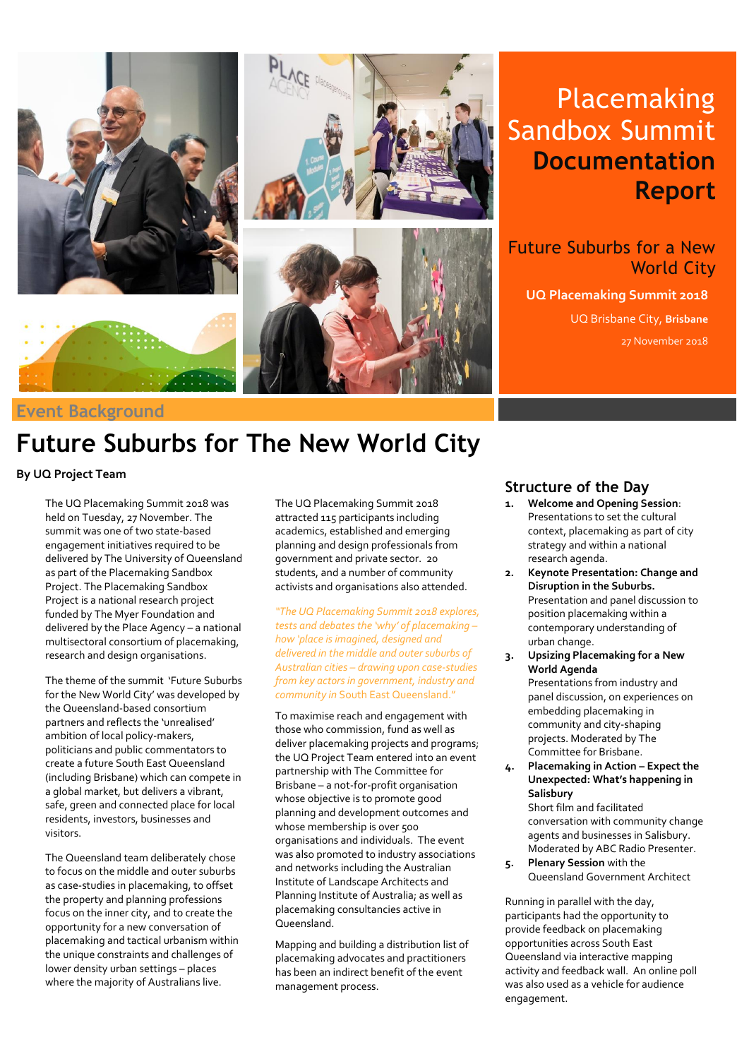

# Placemaking Sandbox Summit **Documentation Report**

Future Suburbs for a New World City

**UQ Placemaking Summit 2018** UQ Brisbane City, **Brisbane** 27 November 2018

# **Future Suburbs for The New World City**

**By UQ Project Team**

The UQ Placemaking Summit 2018 was held on Tuesday, 27 November. The summit was one of two state-based engagement initiatives required to be delivered by The University of Queensland as part of the Placemaking Sandbox Project. The Placemaking Sandbox Project is a national research project funded by The Myer Foundation and delivered by the Place Agency – a national multisectoral consortium of placemaking, research and design organisations.

The theme of the summit 'Future Suburbs for the New World City' was developed by the Queensland-based consortium partners and reflects the 'unrealised' ambition of local policy-makers, politicians and public commentators to create a future South East Queensland (including Brisbane) which can compete in a global market, but delivers a vibrant, safe, green and connected place for local residents, investors, businesses and visitors.

The Queensland team deliberately chose to focus on the middle and outer suburbs as case-studies in placemaking, to offset the property and planning professions focus on the inner city, and to create the opportunity for a new conversation of placemaking and tactical urbanism within the unique constraints and challenges of lower density urban settings – places where the majority of Australians live.

The UQ Placemaking Summit 2018 attracted 115 participants including academics, established and emerging planning and design professionals from government and private sector. 20 students, and a number of community activists and organisations also attended.

*"The UQ Placemaking Summit 2018 explores, tests and debates the 'why' of placemaking – how 'place is imagined, designed and delivered in the middle and outer suburbs of Australian cities – drawing upon case-studies from key actors in government, industry and community in* South East Queensland."

To maximise reach and engagement with those who commission, fund as well as deliver placemaking projects and programs; the UQ Project Team entered into an event partnership with The Committee for Brisbane – a not-for-profit organisation whose objective is to promote good planning and development outcomes and whose membership is over 500 organisations and individuals. The event was also promoted to industry associations and networks including the Australian Institute of Landscape Architects and Planning Institute of Australia; as well as placemaking consultancies active in Queensland.

Mapping and building a distribution list of placemaking advocates and practitioners has been an indirect benefit of the event management process.

### **Structure of the Day**

- **1. Welcome and Opening Session**: Presentations to set the cultural context, placemaking as part of city strategy and within a national research agenda.
- 2. Keynote Presentation: Ch.<br>Disruption in the Suburbs. **2. Keynote Presentation: Change and**  Presentation and panel discussion to position placemaking within a contemporary understanding of urban change.
- **3. Upsizing Placemaking for a New World Agenda** Presentations from industry and panel discussion, on experiences on embedding placemaking in community and city-shaping projects. Moderated by The Committee for Brisbane.
- **4. Placemaking in Action – Expect the Unexpected: What's happening in Salisbury** Short film and facilitated

conversation with community change agents and businesses in Salisbury. Moderated by ABC Radio Presenter.

**5. Plenary Session** with the Queensland Government Architect

Running in parallel with the day, participants had the opportunity to provide feedback on placemaking opportunities across South East Queensland via interactive mapping activity and feedback wall. An online poll was also used as a vehicle for audience engagement.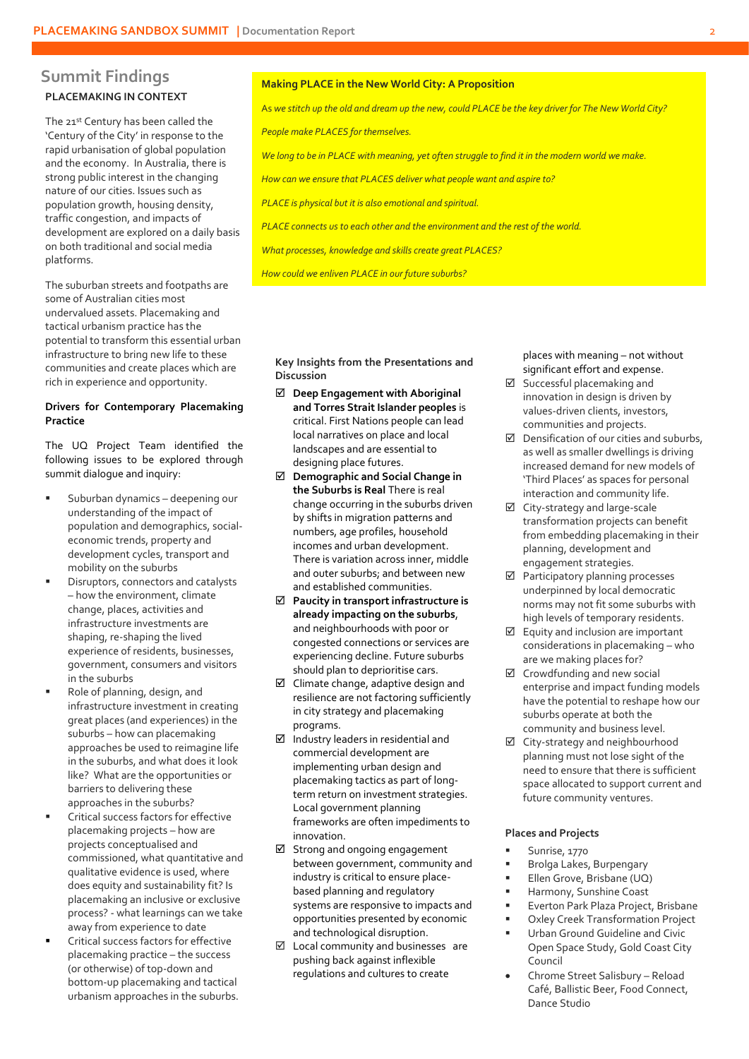## **PLACEMAKING IN CONTEXT Summit Findings**

The 21st Century has been called the 'Century of the City' in response to the rapid urbanisation of global population and the economy. In Australia, there is strong public interest in the changing nature of our cities. Issues such as population growth, housing density, traffic congestion, and impacts of development are explored on a daily basis on both traditional and social media platforms.

The suburban streets and footpaths are some of Australian cities most undervalued assets. Placemaking and tactical urbanism practice has the potential to transform this essential urban infrastructure to bring new life to these communities and create places which are rich in experience and opportunity.

#### **Drivers for Contemporary Placemaking Practice**

The UQ Project Team identified the following issues to be explored through summit dialogue and inquiry:

- Suburban dynamics deepening our understanding of the impact of population and demographics, socialeconomic trends, property and development cycles, transport and mobility on the suburbs
- Disruptors, connectors and catalysts – how the environment, climate change, places, activities and infrastructure investments are shaping, re-shaping the lived experience of residents, businesses, government, consumers and visitors in the suburbs
- Role of planning, design, and infrastructure investment in creating great places (and experiences) in the suburbs – how can placemaking approaches be used to reimagine life in the suburbs, and what does it look like? What are the opportunities or barriers to delivering these approaches in the suburbs?
- Critical success factors for effective placemaking projects – how are projects conceptualised and commissioned, what quantitative and qualitative evidence is used, where does equity and sustainability fit? Is placemaking an inclusive or exclusive process? - what learnings can we take away from experience to date
- Critical success factors for effective placemaking practice – the success (or otherwise) of top-down and bottom-up placemaking and tactical urbanism approaches in the suburbs.

#### **Making PLACE in the New World City: A Proposition**

As *we stitch up the old and dream up the new, could PLACE be the key driver for The New World City?* 

*People make PLACES for themselves.*

*We long to be in PLACE with meaning, yet often struggle to find it in the modern world we make.* 

*How can we ensure that PLACES deliver what people want and aspire to?*

*PLACE is physical but it is also emotional and spiritual.* 

*PLACE connects us to each other and the environment and the rest of the world.*

*What processes, knowledge and skills create great PLACES?* 

*How could we enliven PLACE in our future suburbs?*

**Key Insights from the Presentations and Discussion**

- **Deep Engagement with Aboriginal and Torres Strait Islander peoples** is critical. First Nations people can lead local narratives on place and local landscapes and are essential to designing place futures.
- **Demographic and Social Change in the Suburbs is Real** There is real change occurring in the suburbs driven by shifts in migration patterns and numbers, age profiles, household incomes and urban development. There is variation across inner, middle and outer suburbs; and between new and established communities.
- **Paucity in transport infrastructure is already impacting on the suburbs**, and neighbourhoods with poor or congested connections or services are experiencing decline. Future suburbs should plan to deprioritise cars.
- □ Climate change, adaptive design and resilience are not factoring sufficiently in city strategy and placemaking programs.
- $\boxtimes$  Industry leaders in residential and commercial development are implementing urban design and placemaking tactics as part of longterm return on investment strategies. Local government planning frameworks are often impediments to innovation.
- Strong and ongoing engagement between government, community and industry is critical to ensure placebased planning and regulatory systems are responsive to impacts and opportunities presented by economic and technological disruption.
- $\boxtimes$  Local community and businesses are pushing back against inflexible regulations and cultures to create

places with meaning – not without significant effort and expense.

- Successful placemaking and innovation in design is driven by values-driven clients, investors, communities and projects.
- $\boxtimes$  Densification of our cities and suburbs. as well as smaller dwellings is driving increased demand for new models of 'Third Places' as spaces for personal interaction and community life.
- $\boxtimes$  City-strategy and large-scale transformation projects can benefit from embedding placemaking in their planning, development and engagement strategies.
- $\boxtimes$  Participatory planning processes underpinned by local democratic norms may not fit some suburbs with high levels of temporary residents.
- $\boxtimes$  Equity and inclusion are important considerations in placemaking – who are we making places for?
- $\boxtimes$  Crowdfunding and new social enterprise and impact funding models have the potential to reshape how our suburbs operate at both the community and business level.
- $\boxtimes$  City-strategy and neighbourhood planning must not lose sight of the need to ensure that there is sufficient space allocated to support current and future community ventures.

### **Places and Projects**

- Sunrise, 1770
- Brolga Lakes, Burpengary
- Ellen Grove, Brisbane (UQ)
- Harmony, Sunshine Coast
- Everton Park Plaza Project, Brisbane
- Oxley Creek Transformation Project Urban Ground Guideline and Civic Open Space Study, Gold Coast City Council
- Chrome Street Salisbury Reload Café, Ballistic Beer, Food Connect, Dance Studio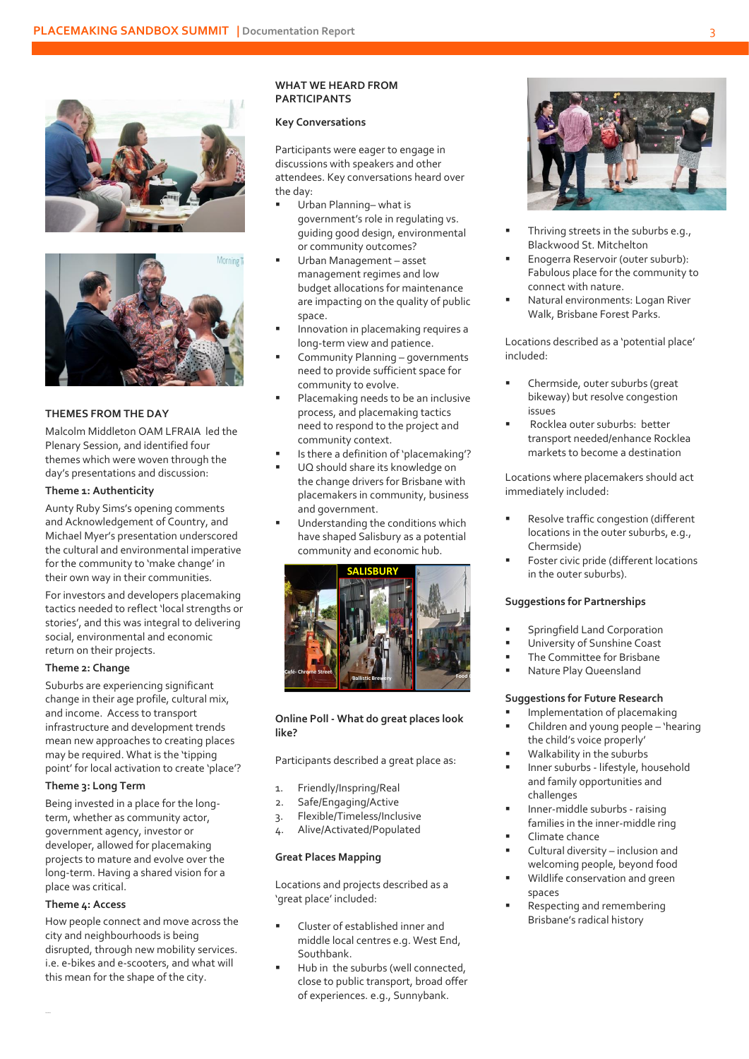



#### **THEMES FROM THE DAY**

Malcolm Middleton OAM LFRAIA led the Plenary Session, and identified four themes which were woven through the day's presentations and discussion:

#### **Theme 1: Authenticity**

Aunty Ruby Sims's opening comments and Acknowledgement of Country, and Michael Myer's presentation underscored the cultural and environmental imperative for the community to 'make change' in their own way in their communities.

For investors and developers placemaking tactics needed to reflect 'local strengths or stories', and this was integral to delivering social, environmental and economic return on their projects.

#### **Theme 2: Change**

Suburbs are experiencing significant change in their age profile, cultural mix, and income. Access to transport infrastructure and development trends mean new approaches to creating places may be required. What is the 'tipping point' for local activation to create 'place'?

#### **Theme 3: Long Term**

Being invested in a place for the longterm, whether as community actor, government agency, investor or developer, allowed for placemaking projects to mature and evolve over the long-term. Having a shared vision for a place was critical.

#### **Theme 4: Access**

How people connect and move across the city and neighbourhoods is being disrupted, through new mobility services. i.e. e-bikes and e-scooters, and what will this mean for the shape of the city.

#### **WHAT WE HEARD FROM PARTICIPANTS**

#### **Key Conversations**

Participants were eager to engage in discussions with speakers and other attendees. Key conversations heard over the day:

- Urban Planning– what is government's role in regulating vs. guiding good design, environmental or community outcomes?
- Urban Management asset management regimes and low budget allocations for maintenance are impacting on the quality of public space.
- Innovation in placemaking requires a long-term view and patience.
- Community Planning governments need to provide sufficient space for community to evolve.
- Placemaking needs to be an inclusive process, and placemaking tactics need to respond to the project and community context.
- Is there a definition of 'placemaking'?
- UQ should share its knowledge on the change drivers for Brisbane with placemakers in community, business and government.
- Understanding the conditions which have shaped Salisbury as a potential community and economic hub.



#### **Online Poll - What do great places look like?**

Participants described a great place as:

- 1. Friendly/Inspring/Real
- 2. Safe/Engaging/Active
- 3. Flexible/Timeless/Inclusive
- 4. Alive/Activated/Populated

#### **Great Places Mapping**

Locations and projects described as a 'great place' included:

- Cluster of established inner and middle local centres e.g. West End, Southbank.
- Hub in the suburbs (well connected, close to public transport, broad offer of experiences. e.g., Sunnybank.



- Thriving streets in the suburbs e.g., Blackwood St. Mitchelton
- Enogerra Reservoir (outer suburb): Fabulous place for the community to connect with nature.
- Natural environments: Logan River Walk, Brisbane Forest Parks.

Locations described as a 'potential place' included:

- Chermside, outer suburbs (great bikeway) but resolve congestion issues
- Rocklea outer suburbs: better transport needed/enhance Rocklea markets to become a destination

Locations where placemakers should act immediately included:

- Resolve traffic congestion (different locations in the outer suburbs, e.g., Chermside)
- Foster civic pride (different locations in the outer suburbs).

#### **Suggestions for Partnerships**

- Springfield Land Corporation
- University of Sunshine Coast
- The Committee for Brisbane
- Nature Play Queensland

#### **Suggestions for Future Research**

- Implementation of placemaking
- Children and young people 'hearing the child's voice properly'
- Walkability in the suburbs
- Inner suburbs lifestyle, household and family opportunities and challenges
- Inner-middle suburbs raising families in the inner-middle ring
- Climate chance
- Cultural diversity inclusion and welcoming people, beyond food
- Wildlife conservation and green spaces
- Respecting and remembering Brisbane's radical history